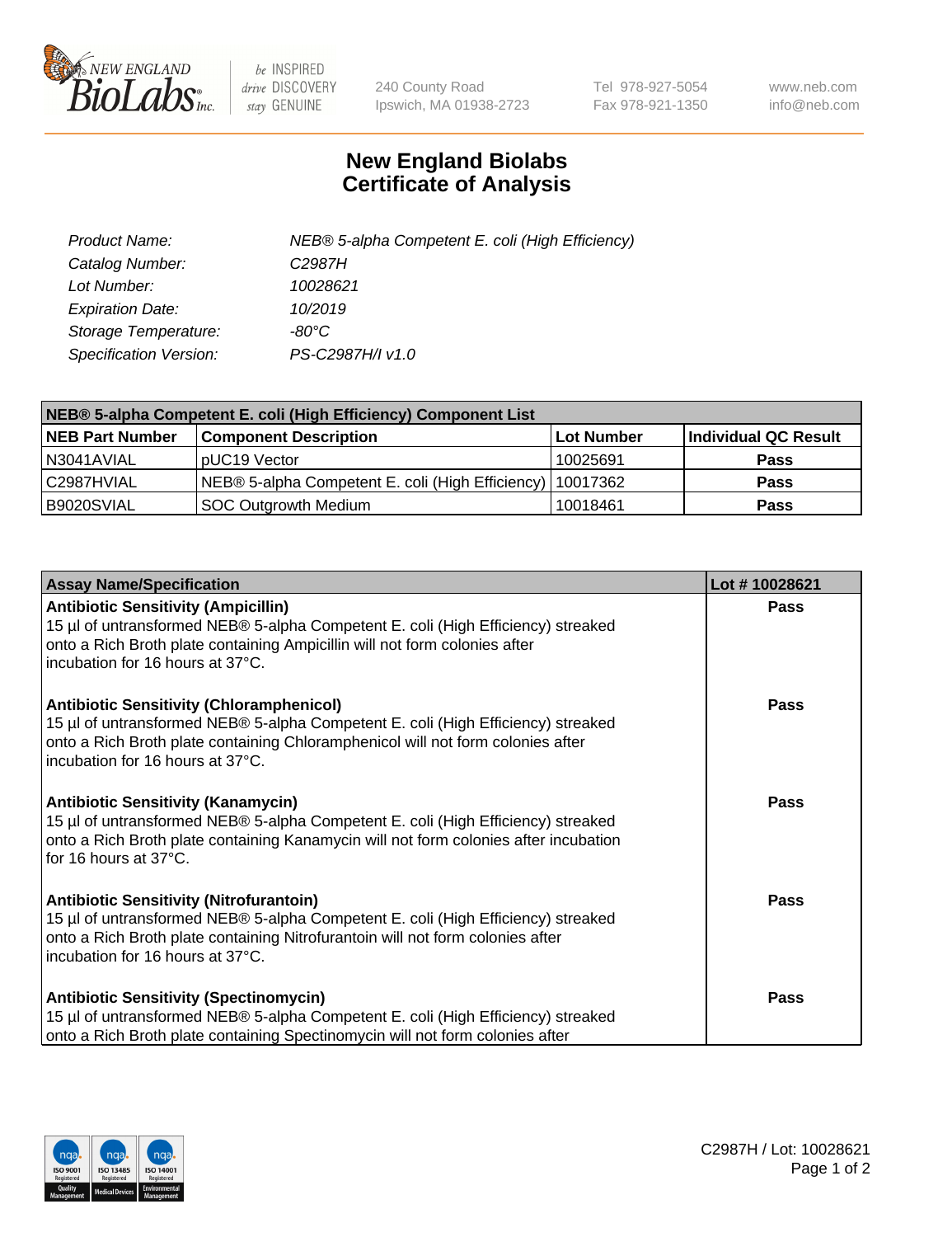

 $be$  INSPIRED drive DISCOVERY stay GENUINE

240 County Road Ipswich, MA 01938-2723 Tel 978-927-5054 Fax 978-921-1350 www.neb.com info@neb.com

## **New England Biolabs Certificate of Analysis**

| Product Name:           | NEB® 5-alpha Competent E. coli (High Efficiency) |
|-------------------------|--------------------------------------------------|
| Catalog Number:         | C <sub>2987</sub> H                              |
| Lot Number:             | 10028621                                         |
| <b>Expiration Date:</b> | 10/2019                                          |
| Storage Temperature:    | -80°C                                            |
| Specification Version:  | PS-C2987H/I v1.0                                 |

| NEB® 5-alpha Competent E. coli (High Efficiency) Component List |                                                             |                   |                      |  |
|-----------------------------------------------------------------|-------------------------------------------------------------|-------------------|----------------------|--|
| <b>NEB Part Number</b>                                          | <b>Component Description</b>                                | <b>Lot Number</b> | Individual QC Result |  |
| N3041AVIAL                                                      | pUC19 Vector                                                | 10025691          | <b>Pass</b>          |  |
| C2987HVIAL                                                      | NEB® 5-alpha Competent E. coli (High Efficiency)   10017362 |                   | <b>Pass</b>          |  |
| B9020SVIAL                                                      | <b>SOC Outgrowth Medium</b>                                 | 10018461          | <b>Pass</b>          |  |

| <b>Assay Name/Specification</b>                                                                                                                                                                                                                            | Lot #10028621 |
|------------------------------------------------------------------------------------------------------------------------------------------------------------------------------------------------------------------------------------------------------------|---------------|
| <b>Antibiotic Sensitivity (Ampicillin)</b><br>15 µl of untransformed NEB® 5-alpha Competent E. coli (High Efficiency) streaked<br>onto a Rich Broth plate containing Ampicillin will not form colonies after<br>incubation for 16 hours at 37°C.           | <b>Pass</b>   |
| <b>Antibiotic Sensitivity (Chloramphenicol)</b><br>15 µl of untransformed NEB® 5-alpha Competent E. coli (High Efficiency) streaked<br>onto a Rich Broth plate containing Chloramphenicol will not form colonies after<br>incubation for 16 hours at 37°C. | Pass          |
| Antibiotic Sensitivity (Kanamycin)<br>15 µl of untransformed NEB® 5-alpha Competent E. coli (High Efficiency) streaked<br>onto a Rich Broth plate containing Kanamycin will not form colonies after incubation<br>for 16 hours at 37°C.                    | Pass          |
| <b>Antibiotic Sensitivity (Nitrofurantoin)</b><br>15 µl of untransformed NEB® 5-alpha Competent E. coli (High Efficiency) streaked<br>onto a Rich Broth plate containing Nitrofurantoin will not form colonies after<br>incubation for 16 hours at 37°C.   | <b>Pass</b>   |
| <b>Antibiotic Sensitivity (Spectinomycin)</b><br>15 µl of untransformed NEB® 5-alpha Competent E. coli (High Efficiency) streaked<br>onto a Rich Broth plate containing Spectinomycin will not form colonies after                                         | Pass          |